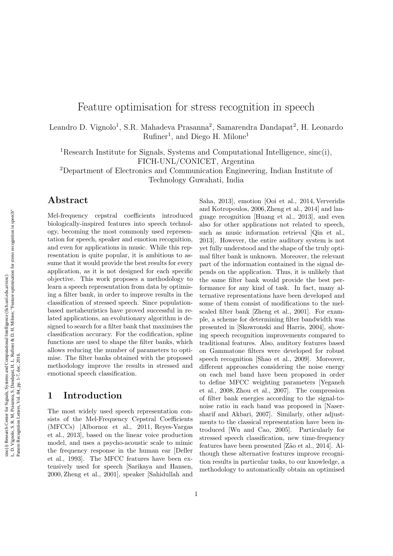# Feature optimisation for stress recognition in speech

Leandro D. Vignolo<sup>1</sup>, S.R. Mahadeva Prasanna<sup>2</sup>, Samarendra Dandapat<sup>2</sup>, H. Leonardo Rufiner<sup>1</sup>, and Diego H. Milone<sup>1</sup>

<sup>1</sup>Research Institute for Signals, Systems and Computational Intelligence, sinc(i), FICH-UNL/CONICET, Argentina

<sup>2</sup>Department of Electronics and Communication Engineering, Indian Institute of Technology Guwahati, India

# Abstract

Mel-frequency cepstral coefficients introduced biologically-inspired features into speech technology, becoming the most commonly used representation for speech, speaker and emotion recognition, and even for applications in music. While this representation is quite popular, it is ambitious to assume that it would provide the best results for every application, as it is not designed for each specific objective. This work proposes a methodology to learn a speech representation from data by optimising a filter bank, in order to improve results in the classification of stressed speech. Since populationbased metaheuristics have proved successful in related applications, an evolutionary algorithm is designed to search for a filter bank that maximises the classification accuracy. For the codification, spline functions are used to shape the filter banks, which allows reducing the number of parameters to optimise. The filter banks obtained with the proposed methodology improve the results in stressed and emotional speech classification.

## 1 Introduction

The most widely used speech representation consists of the Mel-Frequency Cepstral Coefficients (MFCCs) [Albornoz et al., 2011, Reyes-Vargas et al., 2013], based on the linear voice production model, and uses a psycho-acoustic scale to mimic the frequency response in the human ear [Deller et al., 1993]. The MFCC features have been extensively used for speech [Sarikaya and Hansen, 2000, Zheng et al., 2001], speaker [Sahidullah and

Saha, 2013], emotion [Ooi et al., 2014, Ververidis and Kotropoulos, 2006,Zheng et al., 2014] and language recognition [Huang et al., 2013], and even also for other applications not related to speech, such as music information retrieval [Qin et al., 2013]. However, the entire auditory system is not yet fully understood and the shape of the truly optimal filter bank is unknown. Moreover, the relevant part of the information contained in the signal depends on the application. Thus, it is unlikely that the same filter bank would provide the best performance for any kind of task. In fact, many alternative representations have been developed and some of them consist of modifications to the melscaled filter bank [Zheng et al., 2001]. For example, a scheme for determining filter bandwidth was presented in [Skowronski and Harris, 2004], showing speech recognition improvements compared to traditional features. Also, auditory features based on Gammatone filters were developed for robust speech recognition [Shao et al., 2009]. Moreover, different approaches considering the noise energy on each mel band have been proposed in order to define MFCC weighting parameters [Yeganeh et al., 2008, Zhou et al., 2007]. The compression of filter bank energies according to the signal-tonoise ratio in each band was proposed in [Nasersharif and Akbari, 2007]. Similarly, other adjustments to the classical representation have been introduced [Wu and Cao, 2005]. Particularly for stressed speech classification, new time-frequency features have been presented [Zão et al., 2014]. Although these alternative features improve recognition results in particular tasks, to our knowledge, a methodology to automatically obtain an optimised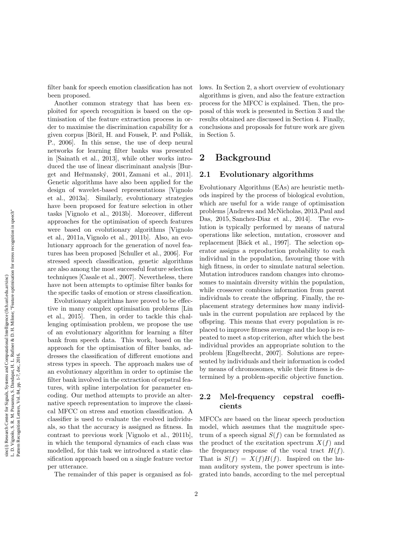filter bank for speech emotion classification has not been proposed.

Another common strategy that has been exploited for speech recognition is based on the optimisation of the feature extraction process in order to maximise the discrimination capability for a given corpus [Bǒril, H. and Fousek, P. and Pollák, P., 2006]. In this sense, the use of deep neural networks for learning filter banks was presented in [Sainath et al., 2013], while other works introduced the use of linear discriminant analysis [Burget and Heřmanský, 2001, Zamani et al., 2011]. Genetic algorithms have also been applied for the design of wavelet-based representations [Vignolo et al., 2013a]. Similarly, evolutionary strategies have been proposed for feature selection in other tasks [Vignolo et al., 2013b]. Moreover, different approaches for the optimisation of speech features were based on evolutionary algorithms [Vignolo et al., 2011a, Vignolo et al., 2011b]. Also, an evolutionary approach for the generation of novel features has been proposed [Schuller et al., 2006]. For stressed speech classification, genetic algorithms are also among the most successful feature selection techniques [Casale et al., 2007]. Nevertheless, there have not been attempts to optimise filter banks for the specific tasks of emotion or stress classification.

Evolutionary algorithms have proved to be effective in many complex optimisation problems [Lin et al., 2015]. Then, in order to tackle this challenging optimisation problem, we propose the use of an evolutionary algorithm for learning a filter bank from speech data. This work, based on the approach for the optimisation of filter banks, addresses the classification of different emotions and stress types in speech. The approach makes use of an evolutionary algorithm in order to optimise the filter bank involved in the extraction of cepstral features, with spline interpolation for parameter encoding. Our method attempts to provide an alternative speech representation to improve the classical MFCC on stress and emotion classification. A classifier is used to evaluate the evolved individuals, so that the accuracy is assigned as fitness. In contrast to previous work [Vignolo et al., 2011b], in which the temporal dynamics of each class was modelled, for this task we introduced a static classification approach based on a single feature vector per utterance.

The remainder of this paper is organised as fol-

lows. In Section 2, a short overview of evolutionary algorithms is given, and also the feature extraction process for the MFCC is explained. Then, the proposal of this work is presented in Section 3 and the results obtained are discussed in Section 4. Finally, conclusions and proposals for future work are given in Section 5.

# 2 Background

#### 2.1 Evolutionary algorithms

Evolutionary Algorithms (EAs) are heuristic methods inspired by the process of biological evolution, which are useful for a wide range of optimisation problems [Andrews and McNicholas, 2013,Paul and Das, 2015, Sanchez-Diaz et al., 2014]. The evolution is typically performed by means of natural operations like selection, mutation, crossover and replacement [Bäck et al., 1997]. The selection operator assigns a reproduction probability to each individual in the population, favouring those with high fitness, in order to simulate natural selection. Mutation introduces random changes into chromosomes to maintain diversity within the population, while crossover combines information from parent individuals to create the offspring. Finally, the replacement strategy determines how many individuals in the current population are replaced by the offspring. This means that every population is replaced to improve fitness average and the loop is repeated to meet a stop criterion, after which the best individual provides an appropriate solution to the problem [Engelbrecht, 2007]. Solutions are represented by individuals and their information is coded by means of chromosomes, while their fitness is determined by a problem-specific objective function.

#### 2.2 Mel-frequency cepstral coefficients

MFCCs are based on the linear speech production model, which assumes that the magnitude spectrum of a speech signal  $S(f)$  can be formulated as the product of the excitation spectrum  $X(f)$  and the frequency response of the vocal tract  $H(f)$ . That is  $S(f) = X(f)H(f)$ . Inspired on the human auditory system, the power spectrum is integrated into bands, according to the mel perceptual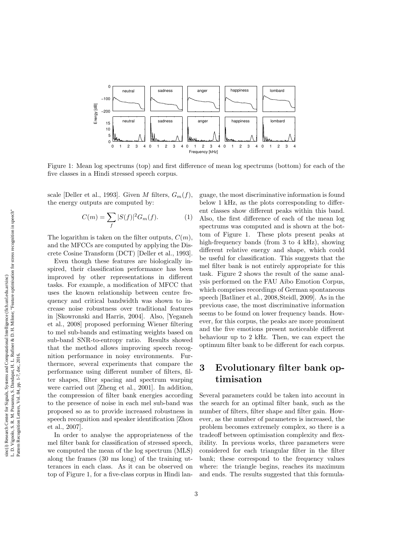

Figure 1: Mean log spectrums (top) and first difference of mean log spectrums (bottom) for each of the five classes in a Hindi stressed speech corpus.

scale [Deller et al., 1993]. Given M filters,  $G_m(f)$ , the energy outputs are computed by:

$$
C(m) = \sum_{f} |S(f)|^2 G_m(f). \tag{1}
$$

The logarithm is taken on the filter outputs,  $C(m)$ , and the MFCCs are computed by applying the Discrete Cosine Transform (DCT) [Deller et al., 1993].

Even though these features are biologically inspired, their classification performance has been improved by other representations in different tasks. For example, a modification of MFCC that uses the known relationship between centre frequency and critical bandwidth was shown to increase noise robustness over traditional features in [Skowronski and Harris, 2004]. Also, [Yeganeh et al., 2008] proposed performing Wiener filtering to mel sub-bands and estimating weights based on sub-band SNR-to-entropy ratio. Results showed that the method allows improving speech recognition performance in noisy environments. Furthermore, several experiments that compare the performance using different number of filters, filter shapes, filter spacing and spectrum warping were carried out [Zheng et al., 2001]. In addition, the compression of filter bank energies according to the presence of noise in each mel sub-band was proposed so as to provide increased robustness in speech recognition and speaker identification [Zhou et al., 2007].

In order to analyse the appropriateness of the mel filter bank for classification of stressed speech, we computed the mean of the log spectrum (MLS) along the frames (30 ms long) of the training utterances in each class. As it can be observed on top of Figure 1, for a five-class corpus in Hindi language, the most discriminative information is found below 1 kHz, as the plots corresponding to different classes show different peaks within this band. Also, the first difference of each of the mean log spectrums was computed and is shown at the bottom of Figure 1. These plots present peaks at high-frequency bands (from 3 to 4 kHz), showing different relative energy and shape, which could be useful for classification. This suggests that the mel filter bank is not entirely appropriate for this task. Figure 2 shows the result of the same analysis performed on the FAU Aibo Emotion Corpus, which comprises recordings of German spontaneous speech [Batliner et al., 2008,Steidl, 2009]. As in the previous case, the most discriminative information seems to be found on lower frequency bands. However, for this corpus, the peaks are more prominent and the five emotions present noticeable different behaviour up to 2 kHz. Then, we can expect the optimum filter bank to be different for each corpus.

# 3 Evolutionary filter bank optimisation

Several parameters could be taken into account in the search for an optimal filter bank, such as the number of filters, filter shape and filter gain. However, as the number of parameters is increased, the problem becomes extremely complex, so there is a tradeoff between optimisation complexity and flexibility. In previous works, three parameters were considered for each triangular filter in the filter bank; these correspond to the frequency values where: the triangle begins, reaches its maximum and ends. The results suggested that this formula-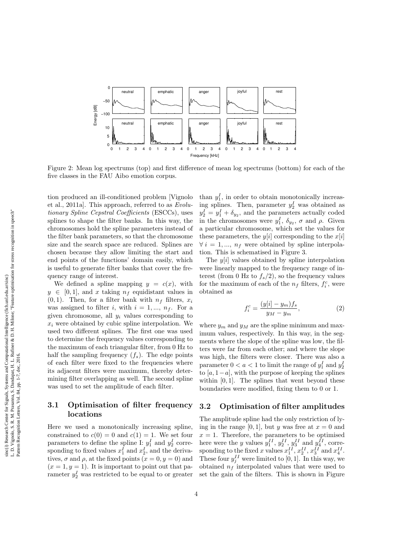

Figure 2: Mean log spectrums (top) and first difference of mean log spectrums (bottom) for each of the five classes in the FAU Aibo emotion corpus.

tion produced an ill-conditioned problem [Vignolo et al., 2011a]. This approach, referred to as Evolutionary Spline Cepstral Coefficients (ESCCs), uses splines to shape the filter banks. In this way, the chromosomes hold the spline parameters instead of the filter bank parameters, so that the chromosome size and the search space are reduced. Splines are chosen because they allow limiting the start and end points of the functions' domain easily, which is useful to generate filter banks that cover the frequency range of interest.

We defined a spline mapping  $y = c(x)$ , with  $y \in [0, 1]$ , and x taking  $n_f$  equidistant values in  $(0, 1)$ . Then, for a filter bank with  $n_f$  filters,  $x_i$ was assigned to filter i, with  $i = 1, ..., n<sub>f</sub>$ . For a given chromosome, all  $y_i$  values corresponding to  $x_i$  were obtained by cubic spline interpolation. We used two different splines. The first one was used to determine the frequency values corresponding to the maximum of each triangular filter, from 0 Hz to half the sampling frequency  $(f_s)$ . The edge points of each filter were fixed to the frequencies where its adjacent filters were maximum, thereby determining filter overlapping as well. The second spline was used to set the amplitude of each filter.

#### 3.1 Optimisation of filter frequency locations

Here we used a monotonically increasing spline, constrained to  $c(0) = 0$  and  $c(1) = 1$ . We set four parameters to define the spline I:  $y_1^I$  and  $y_2^I$  corresponding to fixed values  $x_1^I$  and  $x_2^I$ , and the derivatives,  $\sigma$  and  $\rho$ , at the fixed points  $(x = 0, y = 0)$  and  $(x = 1, y = 1)$ . It is important to point out that parameter  $y_2^I$  was restricted to be equal to or greater

than  $y_1^I$ , in order to obtain monotonically increasing splines. Then, parameter  $y_2^I$  was obtained as  $y_2^I = y_1^I + \delta_{y_2}$ , and the parameters actually coded in the chromosomes were  $y_1^I$ ,  $\delta_{y_2}$ ,  $\sigma$  and  $\rho$ . Given a particular chromosome, which set the values for these parameters, the  $y[i]$  corresponding to the  $x[i]$  $\forall i = 1, ..., n_f$  were obtained by spline interpolation. This is schematised in Figure 3.

The  $y[i]$  values obtained by spline interpolation were linearly mapped to the frequency range of interest (from 0 Hz to  $f_s/2$ ), so the frequency values for the maximum of each of the  $n_f$  filters,  $f_i^c$ , were obtained as

$$
f_i^c = \frac{(y[i] - y_m)f_s}{y_M - y_m},\tag{2}
$$

where  $y_m$  and  $y_M$  are the spline minimum and maximum values, respectively. In this way, in the segments where the slope of the spline was low, the filters were far from each other; and where the slope was high, the filters were closer. There was also a parameter  $0 < a < 1$  to limit the range of  $y_1^I$  and  $y_2^I$ to [a, 1−a], with the purpose of keeping the splines within  $[0, 1]$ . The splines that went beyond these boundaries were modified, fixing them to 0 or 1.

#### 3.2 Optimisation of filter amplitudes

The amplitude spline had the only restriction of lying in the range [0, 1], but y was free at  $x = 0$  and  $x = 1$ . Therefore, the parameters to be optimised here were the y values  $y_1^{II}$ ,  $y_2^{II}$ ,  $y_3^{II}$  and  $y_4^{II}$ , corresponding to the fixed x values  $x_1^{II}$ ,  $x_2^{II}$ ,  $x_3^{II}$  and  $x_4^{II}$ . These four  $y_j^{II}$  were limited to [0, 1]. In this way, we obtained  $n_f$  interpolated values that were used to set the gain of the filters. This is shown in Figure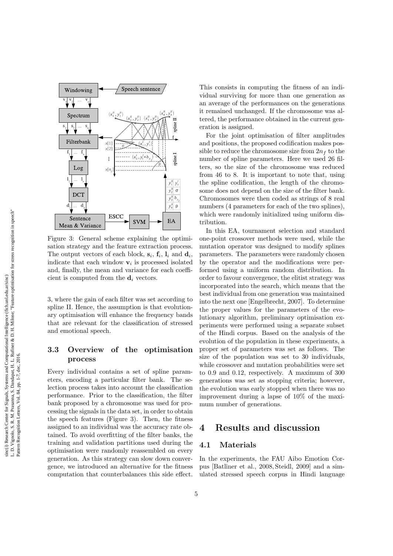

Figure 3: General scheme explaining the optimisation strategy and the feature extraction process. The output vectors of each block,  $s_i$ ,  $f_i$ ,  $l_i$  and  $d_i$ , indicate that each window  $v_i$  is processed isolated and, finally, the mean and variance for each coefficient is computed from the  $\mathbf{d}_i$  vectors.

3, where the gain of each filter was set according to spline II. Hence, the assumption is that evolutionary optimisation will enhance the frequency bands that are relevant for the classification of stressed and emotional speech.

#### 3.3 Overview of the optimisation process

Every individual contains a set of spline parameters, encoding a particular filter bank. The selection process takes into account the classification performance. Prior to the classification, the filter bank proposed by a chromosome was used for processing the signals in the data set, in order to obtain the speech features (Figure 3). Then, the fitness assigned to an individual was the accuracy rate obtained. To avoid overfitting of the filter banks, the training and validation partitions used during the optimisation were randomly reassembled on every generation. As this strategy can slow down convergence, we introduced an alternative for the fitness computation that counterbalances this side effect.

This consists in computing the fitness of an individual surviving for more than one generation as an average of the performances on the generations it remained unchanged. If the chromosome was altered, the performance obtained in the current generation is assigned.

For the joint optimisation of filter amplitudes and positions, the proposed codification makes possible to reduce the chromosome size from  $2n_f$  to the number of spline parameters. Here we used 26 filters, so the size of the chromosome was reduced from 46 to 8. It is important to note that, using the spline codification, the length of the chromosome does not depend on the size of the filter bank. Chromosomes were then coded as strings of 8 real numbers (4 parameters for each of the two splines). which were randomly initialized using uniform distribution.

In this EA, tournament selection and standard one-point crossover methods were used, while the mutation operator was designed to modify splines parameters. The parameters were randomly chosen by the operator and the modifications were performed using a uniform random distribution. In order to favour convergence, the elitist strategy was incorporated into the search, which means that the best individual from one generation was maintained into the next one [Engelbrecht, 2007]. To determine the proper values for the parameters of the evolutionary algorithm, preliminary optimisation experiments were performed using a separate subset of the Hindi corpus. Based on the analysis of the evolution of the population in these experiments, a proper set of parameters was set as follows. The size of the population was set to 30 individuals, while crossover and mutation probabilities were set to 0.9 and 0.12, respectively. A maximum of 300 generations was set as stopping criteria; however, the evolution was early stopped when there was no improvement during a lapse of 10% of the maximum number of generations.

## 4 Results and discussion

#### 4.1 Materials

In the experiments, the FAU Aibo Emotion Corpus [Batliner et al., 2008, Steidl, 2009] and a simulated stressed speech corpus in Hindi language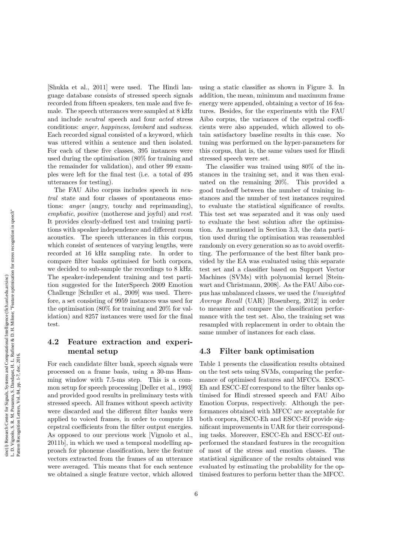[Shukla et al., 2011] were used. The Hindi language database consists of stressed speech signals recorded from fifteen speakers, ten male and five female. The speech utterances were sampled at 8 kHz and include neutral speech and four acted stress conditions: anger, happiness, lombard and sadness. Each recorded signal consisted of a keyword, which was uttered within a sentence and then isolated. For each of these five classes, 395 instances were used during the optimisation (80% for training and the remainder for validation), and other 99 examples were left for the final test (i.e. a total of 495 utterances for testing).

The FAU Aibo corpus includes speech in neutral state and four classes of spontaneous emotions: anger (angry, touchy and reprimanding), emphatic, positive (motherese and joyful) and rest. It provides clearly-defined test and training partitions with speaker independence and different room acoustics. The speech utterances in this corpus, which consist of sentences of varying lengths, were recorded at 16 kHz sampling rate. In order to compare filter banks optimised for both corpora, we decided to sub-sample the recordings to 8 kHz. The speaker-independent training and test partition suggested for the InterSpeech 2009 Emotion Challenge [Schuller et al., 2009] was used. Therefore, a set consisting of 9959 instances was used for the optimisation (80% for training and 20% for validation) and 8257 instances were used for the final test.

## 4.2 Feature extraction and experimental setup

For each candidate filter bank, speech signals were processed on a frame basis, using a 30-ms Hamming window with 7.5-ms step. This is a common setup for speech processing [Deller et al., 1993] and provided good results in preliminary tests with stressed speech. All frames without speech activity were discarded and the different filter banks were applied to voiced frames, in order to compute 13 cepstral coefficients from the filter output energies. As opposed to our previous work [Vignolo et al., 2011b], in which we used a temporal modelling approach for phoneme classification, here the feature vectors extracted from the frames of an utterance were averaged. This means that for each sentence we obtained a single feature vector, which allowed using a static classifier as shown in Figure 3. In addition, the mean, minimum and maximum frame energy were appended, obtaining a vector of 16 features. Besides, for the experiments with the FAU Aibo corpus, the variances of the cepstral coefficients were also appended, which allowed to obtain satisfactory baseline results in this case. No tuning was performed on the hyper-parameters for this corpus, that is, the same values used for Hindi stressed speech were set.

The classifier was trained using 80% of the instances in the training set, and it was then evaluated on the remaining 20%. This provided a good tradeoff between the number of training instances and the number of test instances required to evaluate the statistical significance of results. This test set was separated and it was only used to evaluate the best solution after the optimisation. As mentioned in Section 3.3, the data partition used during the optimisation was reassembled randomly on every generation so as to avoid overfitting. The performance of the best filter bank provided by the EA was evaluated using this separate test set and a classifier based on Support Vector Machines (SVMs) with polynomial kernel [Steinwart and Christmann, 2008]. As the FAU Aibo corpus has unbalanced classes, we used the Unweighted Average Recall (UAR) [Rosenberg, 2012] in order to measure and compare the classification performance with the test set. Also, the training set was resampled with replacement in order to obtain the same number of instances for each class.

#### 4.3 Filter bank optimisation

Table 1 presents the classification results obtained on the test sets using SVMs, comparing the performance of optimised features and MFCCs. ESCC-Eh and ESCC-Ef correspond to the filter banks optimised for Hindi stressed speech and FAU Aibo Emotion Corpus, respectively. Although the performances obtained with MFCC are acceptable for both corpora, ESCC-Eh and ESCC-Ef provide significant improvements in UAR for their corresponding tasks. Moreover, ESCC-Eh and ESCC-Ef outperformed the standard features in the recognition of most of the stress and emotion classes. The statistical significance of the results obtained was evaluated by estimating the probability for the optimised features to perform better than the MFCC.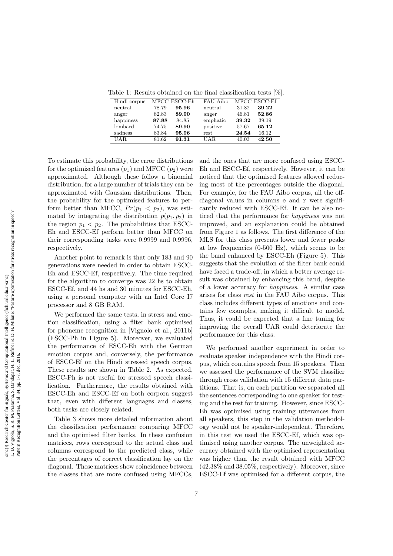Table 1: Results obtained on the final classification tests [%].

| Hindi corpus |       | MFCC ESCC-Eh | FAU Aibo   |       | MFCC ESCC-Ef |
|--------------|-------|--------------|------------|-------|--------------|
| neutral      | 78.79 | 95.96        | neutral    | 31.82 | 39.22        |
| anger        | 82.83 | 89.90        | anger      | 46.81 | 52.86        |
| happiness    | 87.88 | 84.85        | emphatic   | 39.32 | 39.19        |
| lombard      | 74.75 | 89.90        | positive   | 57.67 | 65.12        |
| sadness      | 83.84 | 95.96        | rest       | 24.54 | 16.12        |
| UAR.         | 81.62 | 91.31        | <b>UAR</b> | 40.03 | 42.50        |

To estimate this probability, the error distributions for the optimised features  $(p_1)$  and MFCC  $(p_2)$  were approximated. Although these follow a binomial distribution, for a large number of trials they can be approximated with Gaussian distributions. Then, the probability for the optimised features to perform better than MFCC,  $Pr(p_1 < p_2)$ , was estimated by integrating the distribution  $p(p_1, p_2)$  in the region  $p_1 < p_2$ . The probabilities that ESCC-Eh and ESCC-Ef perform better than MFCC on their corresponding tasks were 0.9999 and 0.9996, respectively.

Another point to remark is that only 183 and 90 generations were needed in order to obtain ESCC-Eh and ESCC-Ef, respectively. The time required for the algorithm to converge was 22 hs to obtain ESCC-Ef, and 44 hs and 30 minutes for ESCC-Eh, using a personal computer with an Intel Core I7 processor and 8 GB RAM.

We performed the same tests, in stress and emotion classification, using a filter bank optimised for phoneme recognition in [Vignolo et al., 2011b] (ESCC-Ph in Figure 5). Moreover, we evaluated the performance of ESCC-Eh with the German emotion corpus and, conversely, the performance of ESCC-Ef on the Hindi stressed speech corpus. These results are shown in Table 2. As expected, ESCC-Ph is not useful for stressed speech classification. Furthermore, the results obtained with ESCC-Eh and ESCC-Ef on both corpora suggest that, even with different languages and classes, both tasks are closely related.

Table 3 shows more detailed information about the classification performance comparing MFCC and the optimised filter banks. In these confusion matrices, rows correspond to the actual class and columns correspond to the predicted class, while the percentages of correct classification lay on the diagonal. These matrices show coincidence between the classes that are more confused using MFCCs, and the ones that are more confused using ESCC-Eh and ESCC-Ef, respectively. However, it can be noticed that the optimised features allowed reducing most of the percentages outside the diagonal. For example, for the FAU Aibo corpus, all the offdiagonal values in columns e and r were significantly reduced with ESCC-Ef. It can be also noticed that the performance for happiness was not improved, and an explanation could be obtained from Figure 1 as follows. The first difference of the MLS for this class presents lower and fewer peaks at low frequencies (0-500 Hz), which seems to be the band enhanced by ESCC-Eh (Figure 5). This suggests that the evolution of the filter bank could have faced a trade-off, in which a better average result was obtained by enhancing this band, despite of a lower accuracy for happiness. A similar case arises for class rest in the FAU Aibo corpus. This class includes different types of emotions and contains few examples, making it difficult to model. Thus, it could be expected that a fine tuning for improving the overall UAR could deteriorate the performance for this class.

We performed another experiment in order to evaluate speaker independence with the Hindi corpus, which contains speech from 15 speakers. Then we assessed the performance of the SVM classifier through cross validation with 15 different data partitions. That is, on each partition we separated all the sentences corresponding to one speaker for testing and the rest for training. However, since ESCC-Eh was optimised using training utterances from all speakers, this step in the validation methodology would not be speaker-independent. Therefore, in this test we used the ESCC-Ef, which was optimised using another corpus. The unweighted accuracy obtained with the optimised representation was higher than the result obtained with MFCC (42.38% and 38.05%, respectively). Moreover, since ESCC-Ef was optimised for a different corpus, the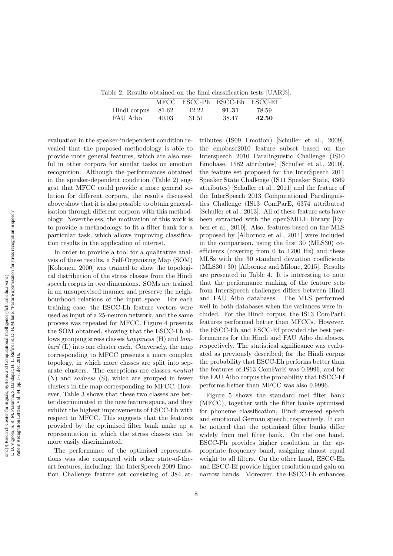Table 2: Results obtained on the final classification tests [UAR%].

|              |       | MFCC ESCC-Ph ESCC-Eh ESCC-Ef |       |       |
|--------------|-------|------------------------------|-------|-------|
| Hindi corpus | 81.62 | 42.22                        | 91.31 | 78.59 |
| FAU Aibo     | 40.03 | -31.51                       | 38.47 | 42.50 |

evaluation in the speaker-independent condition revealed that the proposed methodology is able to provide more general features, which are also useful in other corpora for similar tasks on emotion recognition. Although the performances obtained in the speaker-dependent condition (Table 2) suggest that MFCC could provide a more general solution for different corpora, the results discussed above show that it is also possible to obtain generalisation through different corpora with this methodology. Nevertheless, the motivation of this work is to provide a methodology to fit a filter bank for a particular task, which allows improving classification results in the application of interest.

In order to provide a tool for a qualitative analysis of these results, a Self-Organising Map (SOM) [Kohonen, 2000] was trained to show the topological distribution of the stress classes from the Hindi speech corpus in two dimensions. SOMs are trained in an unsupervised manner and preserve the neighbourhood relations of the input space. For each training case, the ESCC-Eh feature vectors were used as input of a 25-neuron network, and the same process was repeated for MFCC. Figure 4 presents the SOM obtained, showing that the ESCC-Eh allows grouping stress classes happiness (H) and lombard (L) into one cluster each. Conversely, the map corresponding to MFCC presents a more complex topology, in which more classes are split into separate clusters. The exceptions are classes neutral (N) and sadness (S), which are grouped in fewer clusters in the map corresponding to MFCC. However, Table 3 shows that these two classes are better discriminated in the new feature space, and they exhibit the highest improvements of ESCC-Eh with respect to MFCC. This suggests that the features provided by the optimised filter bank make up a representation in which the stress classes can be more easily discriminated.

The performance of the optimised representations was also compared with other state-of-theart features, including: the InterSpeech 2009 Emotion Challenge feature set consisting of 384 attributes (IS09 Emotion) [Schuller et al., 2009], the emobase2010 feature subset based on the Interspeech 2010 Paralinguistic Challenge (IS10 Emobase, 1582 attributes) [Schuller et al., 2010], the feature set proposed for the InterSpeech 2011 Speaker State Challenge (IS11 Speaker State, 4369 attributes) [Schuller et al., 2011] and the feature of the InterSpeech 2013 Computational Paralinguistics Challenge (IS13 ComParE, 6374 attributes) [Schuller et al., 2013]. All of these feature sets have been extracted with the openSMILE library [Eyben et al., 2010]. Also, features based on the MLS proposed by [Albornoz et al., 2011] were included in the comparison, using the first 30 (MLS30) coefficients (covering from 0 to 1200 Hz) and these MLSs with the 30 standard deviation coefficients (MLS30+30) [Albornoz and Milone, 2015]. Results are presented in Table 4. It is interesting to note that the performance ranking of the feature sets from InterSpeech challenges differs between Hindi and FAU Aibo databases. The MLS performed well in both databases when the variances were included. For the Hindi corpus, the IS13 ComParE features performed better than MFCCs. However, the ESCC-Eh and ESCC-Ef provided the best performances for the Hindi and FAU Aibo databases, respectively. The statistical significance was evaluated as previously described; for the Hindi corpus the probability that ESCC-Eh performs better than the features of IS13 ComParE was 0.9996, and for the FAU Aibo corpus the probability that ESCC-Ef performs better than MFCC was also 0.9996.

Figure 5 shows the standard mel filter bank (MFCC), together with the filter banks optimised for phoneme classification, Hindi stressed speech and emotional German speech, respectively. It can be noticed that the optimised filter banks differ widely from mel filter bank. On the one hand, ESCC-Ph provides higher resolution in the appropriate frequency band, assigning almost equal weight to all filters. On the other hand, ESCC-Eh and ESCC-Ef provide higher resolution and gain on narrow bands. Moreover, the ESCC-Eh enhances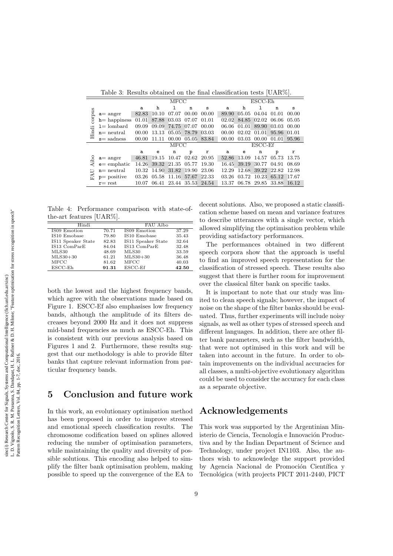Table 3: Results obtained on the final classification tests [UAR%].

|        |                 | MFCC  |       |       | $\mathop{\hbox{\rm ESCC-}Eh}\nolimits$ |         |       |       |             |       |       |
|--------|-----------------|-------|-------|-------|----------------------------------------|---------|-------|-------|-------------|-------|-------|
|        |                 | a     | h     | 1     | n                                      | s       | a     | h     |             | n     | S     |
| sudioc | $a=$ anger      | 82.83 | 10.10 | 07.07 | 00.00                                  | 00.00   | 89.90 | 05.05 | 04.04       | 01.01 | 00.00 |
|        | $h$ = happiness | 01.01 | 87.88 | 03.03 | 07.07                                  | 01.01   | 02.02 |       | 84.85 02.02 | 06.06 | 05.05 |
|        | $1 =$ lombard   | 09.09 | 09.09 | 74.75 | 07.07                                  | 00.00   | 06.06 | 01.01 | 89.90       | 03.03 | 00.00 |
| Hindi  | $n = neutral$   | 00.00 | 13.13 | 05.05 | 78.79                                  | 03.03   | 00.00 | 02.02 | 01.01       | 95.96 | 01.01 |
|        | $s =$ sadness   | 00.00 | 11.11 | 00.00 | 05.05                                  | 83.84   | 00.00 | 03.03 | 00.00       | 01.01 | 95.96 |
|        |                 |       | MFCC  |       |                                        | ESCC-Ef |       |       |             |       |       |
|        |                 | a     | е     | n     | p                                      | r       | а     | e     | n           | p     |       |
| Aibo   | $a=$ anger      | 46.81 | 19.15 | 10.47 | 02.62                                  | 20.95   | 52.86 | 13.09 | 14.57       | 05.73 | 13.75 |
|        | $e=$ emphatic   | 14.26 | 39.32 | 21.35 | 05.77                                  | 19.30   | 16.45 | 39.19 | 30.77       | 04.91 | 08.69 |
|        | $n = neutral$   | 10.32 | 14.90 | 31.82 | 19.90                                  | 23.06   | 12.29 | 12.68 | 39.22       | 22.82 | 12.98 |
| 옩      | $p = positive$  | 03.26 | 05.58 | 11.16 | 57.67                                  | 22.33   | 03.26 | 03.72 | 10.23       | 65.12 | 17.67 |
|        | $r = rest$      | 10.07 | 06.41 | 23.44 | 35.53 24.54                            |         | 13.37 |       | 06.78 29.85 | 33.88 | 16.12 |

Table 4: Performance comparison with state-ofthe-art features [UAR%].

| Hindi              |       | FAU Aibo           |       |
|--------------------|-------|--------------------|-------|
| IS09 Emotion       | 70.71 | IS09 Emotion       | 37.29 |
| IS10 Emobase       | 79.80 | IS10 Emobase       | 35.43 |
| IS11 Speaker State | 82.83 | IS11 Speaker State | 32.64 |
| IS13 ComParE       | 84.04 | IS13 ComParE       | 32.48 |
| MLS30              | 48.69 | MLS30              | 33.59 |
| $MLS30+30$         | 61.21 | $MLS30+30$         | 36.48 |
| MFCC               | 81.62 | <b>MFCC</b>        | 40.03 |
| $ESCC-E$ h         | 91.31 | $ESCC-Ef$          | 42.50 |

both the lowest and the highest frequency bands, which agree with the observations made based on Figure 1. ESCC-Ef also emphasises low frequency bands, although the amplitude of its filters decreases beyond 2000 Hz and it does not suppress mid-band frequencies as much as ESCC-Eh. This is consistent with our previous analysis based on Figures 1 and 2. Furthermore, these results suggest that our methodology is able to provide filter banks that capture relevant information from particular frequency bands.

## 5 Conclusion and future work

In this work, an evolutionary optimisation method has been proposed in order to improve stressed and emotional speech classification results. The chromosome codification based on splines allowed reducing the number of optimisation parameters, while maintaining the quality and diversity of possible solutions. This encoding also helped to simplify the filter bank optimisation problem, making possible to speed up the convergence of the EA to decent solutions. Also, we proposed a static classification scheme based on mean and variance features to describe utterances with a single vector, which allowed simplifying the optimisation problem while providing satisfactory performances.

The performances obtained in two different speech corpora show that the approach is useful to find an improved speech representation for the classification of stressed speech. These results also suggest that there is further room for improvement over the classical filter bank on specific tasks.

It is important to note that our study was limited to clean speech signals; however, the impact of noise on the shape of the filter banks should be evaluated. Thus, further experiments will include noisy signals, as well as other types of stressed speech and different languages. In addition, there are other filter bank parameters, such as the filter bandwidth, that were not optimised in this work and will be taken into account in the future. In order to obtain improvements on the individual accuracies for all classes, a multi-objective evolutionary algorithm could be used to consider the accuracy for each class as a separate objective.

## Acknowledgements

This work was supported by the Argentinian Ministerio de Ciencia, Tecnología e Innovación Productiva and by the Indian Department of Science and Technology, under project IN1103. Also, the authors wish to acknowledge the support provided by Agencia Nacional de Promoción Científica y Tecnológica (with projects PICT 2011-2440, PICT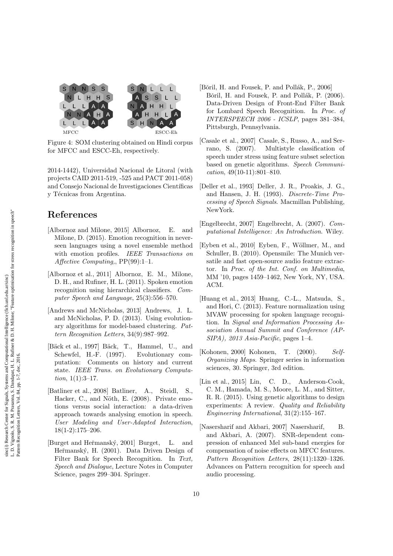

Figure 4: SOM clustering obtained on Hindi corpus for MFCC and ESCC-Eh, respectively.

2014-1442), Universidad Nacional de Litoral (with projects CAID 2011-519, -525 and PACT 2011-058) and Consejo Nacional de Investigaciones Científicas y Técnicas from Argentina.

# References

- [Albornoz and Milone, 2015] Albornoz, E. and Milone, D. (2015). Emotion recognition in neverseen languages using a novel ensemble method with emotion profiles. IEEE Transactions on Affective Computing,, PP(99):1–1.
- [Albornoz et al., 2011] Albornoz, E. M., Milone, D. H., and Rufiner, H. L. (2011). Spoken emotion recognition using hierarchical classifiers. Computer Speech and Language, 25(3):556–570.
- [Andrews and McNicholas, 2013] Andrews, J. L. and McNicholas, P. D. (2013). Using evolutionary algorithms for model-based clustering. Pattern Recognition Letters, 34(9):987–992.
- [Bäck et al., 1997] Bäck, T., Hammel, U., and Schewfel, H.-F. (1997). Evolutionary computation: Comments on history and current state. IEEE Trans. on Evolutionary Computation, 1(1):3-17.
- [Batliner et al., 2008] Batliner, A., Steidl, S., Hacker, C., and Nöth, E. (2008). Private emotions versus social interaction: a data-driven approach towards analysing emotion in speech. User Modeling and User-Adapted Interaction, 18(1-2):175–206.
- [Burget and Heˇrmansk´y, 2001] Burget, L. and Heřmanský, H. (2001). Data Driven Design of Filter Bank for Speech Recognition. In Text, Speech and Dialogue, Lecture Notes in Computer Science, pages 299–304. Springer.
- [Bǒril, H. and Fousek, P. and Pollák, P., 2006] Bǒril, H. and Fousek, P. and Pollák, P. (2006). Data-Driven Design of Front-End Filter Bank for Lombard Speech Recognition. In Proc. of INTERSPEECH 2006 - ICSLP, pages 381–384, Pittsburgh, Pennsylvania.
- [Casale et al., 2007] Casale, S., Russo, A., and Serrano, S. (2007). Multistyle classification of speech under stress using feature subset selection based on genetic algorithms. Speech Communi $cation, 49(10-11):801-810.$
- [Deller et al., 1993] Deller, J. R., Proakis, J. G., and Hansen, J. H. (1993). Discrete-Time Processing of Speech Signals. Macmillan Publishing, NewYork.
- [Engelbrecht, 2007] Engelbrecht, A. (2007). Computational Intelligence: An Introduction. Wiley.
- [Eyben et al., 2010] Eyben, F., Wöllmer, M., and Schuller, B. (2010). Opensmile: The Munich versatile and fast open-source audio feature extractor. In Proc. of the Int. Conf. on Multimedia, MM '10, pages 1459–1462, New York, NY, USA. ACM.
- [Huang et al., 2013] Huang, C.-L., Matsuda, S., and Hori, C. (2013). Feature normalization using MVAW processing for spoken language recognition. In Signal and Information Processing Association Annual Summit and Conference (AP- $SIPA$ ),  $2013$  Asia-Pacific, pages 1–4.
- [Kohonen, 2000] Kohonen, T. (2000). Self-Organizing Maps. Springer series in information sciences, 30. Springer, 3rd edition.
- [Lin et al., 2015] Lin, C. D., Anderson-Cook, C. M., Hamada, M. S., Moore, L. M., and Sitter, R. R. (2015). Using genetic algorithms to design experiments: A review. Quality and Reliability Engineering International, 31(2):155–167.
- [Nasersharif and Akbari, 2007] Nasersharif, B. and Akbari, A. (2007). SNR-dependent compression of enhanced Mel sub-band energies for compensation of noise effects on MFCC features. Pattern Recognition Letters, 28(11):1320–1326. Advances on Pattern recognition for speech and audio processing.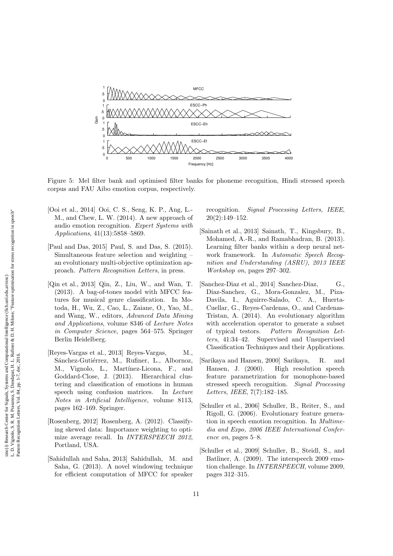

Figure 5: Mel filter bank and optimised filter banks for phoneme recognition, Hindi stressed speech corpus and FAU Aibo emotion corpus, respectively.

- [Ooi et al., 2014] Ooi, C. S., Seng, K. P., Ang, L.- M., and Chew, L. W. (2014). A new approach of audio emotion recognition. Expert Systems with Applications, 41(13):5858–5869.
- [Paul and Das, 2015] Paul, S. and Das, S. (2015). Simultaneous feature selection and weighting – an evolutionary multi-objective optimization approach. Pattern Recognition Letters, in press.
- [Qin et al., 2013] Qin, Z., Liu, W., and Wan, T. (2013). A bag-of-tones model with MFCC features for musical genre classification. In Motoda, H., Wu, Z., Cao, L., Zaiane, O., Yao, M., and Wang, W., editors, Advanced Data Mining and Applications, volume 8346 of Lecture Notes in Computer Science, pages 564–575. Springer Berlin Heidelberg.
- [Reyes-Vargas et al., 2013] Reyes-Vargas, M., Sánchez-Gutiérrez, M., Rufiner, L., Albornoz, M., Vignolo, L., Martínez-Licona, F., and Goddard-Close, J. (2013). Hierarchical clustering and classification of emotions in human speech using confusion matrices. In Lecture Notes in Artificial Intelligence, volume 8113, pages 162–169. Springer.
- [Rosenberg, 2012] Rosenberg, A. (2012). Classifying skewed data: Importance weighting to optimize average recall. In INTERSPEECH 2012, Portland, USA.
- [Sahidullah and Saha, 2013] Sahidullah, M. and Saha, G. (2013). A novel windowing technique for efficient computation of MFCC for speaker

recognition. Signal Processing Letters, IEEE, 20(2):149–152.

- [Sainath et al., 2013] Sainath, T., Kingsbury, B., Mohamed, A.-R., and Ramabhadran, B. (2013). Learning filter banks within a deep neural network framework. In Automatic Speech Recognition and Understanding (ASRU), 2013 IEEE Workshop on, pages 297–302.
- [Sanchez-Diaz et al., 2014] Sanchez-Diaz, G., Diaz-Sanchez, G., Mora-Gonzalez, M., Piza-Davila, I., Aguirre-Salado, C. A., Huerta-Cuellar, G., Reyes-Cardenas, O., and Cardenas-Tristan, A. (2014). An evolutionary algorithm with acceleration operator to generate a subset of typical testors. Pattern Recognition Letters, 41:34–42. Supervised and Unsupervised Classification Techniques and their Applications.
- [Sarikaya and Hansen, 2000] Sarikaya, R. and Hansen, J. (2000). High resolution speech feature parametrization for monophone-based stressed speech recognition. Signal Processing Letters, IEEE, 7(7):182–185.
- [Schuller et al., 2006] Schuller, B., Reiter, S., and Rigoll, G. (2006). Evolutionary feature generation in speech emotion recognition. In Multimedia and Expo, 2006 IEEE International Conference on, pages 5–8.
- [Schuller et al., 2009] Schuller, B., Steidl, S., and Batliner, A. (2009). The interspeech 2009 emotion challenge. In INTERSPEECH, volume 2009, pages 312–315.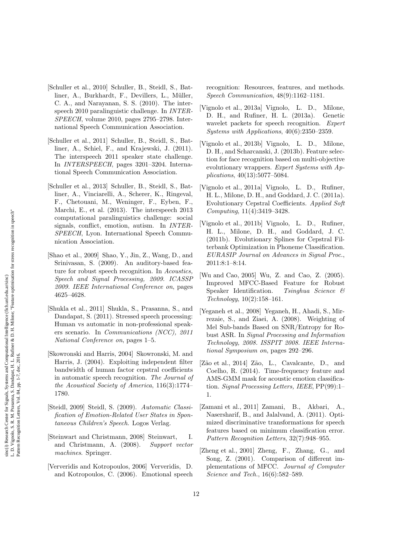sinc(*i*) Research Center for Signals, Systems and Computational Intelligence (fich.unl.edu.ar/sinc)<br>L. D. Vignolo, S. R. M. Prasanna, S. Dandapat, H. L. Rufiner & D. H. Milone; "Feature optimisation for stress recognition L. D. Vignolo, S. R. M. Prasanna, S. Dandapat, H. L. Rufiner & D. H. Milone; "Feature optimisation for stress recognition in speech" sinc(*i*) Research Center for Signals, Systems and Computational Intelligence (fich.unl.edu.ar/sinc) Pattern Recognition Letters, Vol. 84, pp. 1-7, dec, 2016.

- [Schuller et al., 2010] Schuller, B., Steidl, S., Batliner, A., Burkhardt, F., Devillers, L., Müller, C. A., and Narayanan, S. S. (2010). The interspeech 2010 paralinguistic challenge. In INTER-SPEECH, volume 2010, pages 2795–2798. International Speech Communication Association.
- [Schuller et al., 2011] Schuller, B., Steidl, S., Batliner, A., Schiel, F., and Krajewski, J. (2011). The interspeech 2011 speaker state challenge. In INTERSPEECH, pages 3201–3204. International Speech Communication Association.
- [Schuller et al., 2013] Schuller, B., Steidl, S., Batliner, A., Vinciarelli, A., Scherer, K., Ringeval, F., Chetouani, M., Weninger, F., Eyben, F., Marchi, E., et al. (2013). The interspeech 2013 computational paralinguistics challenge: social signals, conflict, emotion, autism. In INTER-SPEECH, Lyon. International Speech Communication Association.
- [Shao et al., 2009] Shao, Y., Jin, Z., Wang, D., and Srinivasan, S. (2009). An auditory-based feature for robust speech recognition. In Acoustics, Speech and Signal Processing, 2009. ICASSP 2009. IEEE International Conference on, pages 4625–4628.
- [Shukla et al., 2011] Shukla, S., Prasanna, S., and Dandapat, S. (2011). Stressed speech processing: Human vs automatic in non-professional speakers scenario. In Communications (NCC), 2011 National Conference on, pages 1–5.
- [Skowronski and Harris, 2004] Skowronski, M. and Harris, J. (2004). Exploiting independent filter bandwidth of human factor cepstral coefficients in automatic speech recognition. The Journal of the Acoustical Society of America, 116(3):1774– 1780.
- [Steidl, 2009] Steidl, S. (2009). Automatic Classification of Emotion-Related User States in Spontaneous Children's Speech. Logos Verlag.
- [Steinwart and Christmann, 2008] Steinwart, I. and Christmann, A. (2008). Support vector machines. Springer.
- [Ververidis and Kotropoulos, 2006] Ververidis, D. and Kotropoulos, C. (2006). Emotional speech

recognition: Resources, features, and methods. Speech Communication, 48(9):1162–1181.

- [Vignolo et al., 2013a] Vignolo, L. D., Milone, D. H., and Rufiner, H. L. (2013a). Genetic wavelet packets for speech recognition. Expert Systems with Applications, 40(6):2350–2359.
- [Vignolo et al., 2013b] Vignolo, L. D., Milone, D. H., and Scharcanski, J. (2013b). Feature selection for face recognition based on multi-objective evolutionary wrappers. Expert Systems with Applications, 40(13):5077–5084.
- [Vignolo et al., 2011a] Vignolo, L. D., Rufiner, H. L., Milone, D. H., and Goddard, J. C. (2011a). Evolutionary Cepstral Coefficients. Applied Soft Computing, 11(4):3419–3428.
- [Vignolo et al., 2011b] Vignolo, L. D., Rufiner, H. L., Milone, D. H., and Goddard, J. C. (2011b). Evolutionary Splines for Cepstral Filterbank Optimization in Phoneme Classification. EURASIP Journal on Advances in Signal Proc., 2011:8:1–8:14.
- [Wu and Cao, 2005] Wu, Z. and Cao, Z. (2005). Improved MFCC-Based Feature for Robust Speaker Identification. Tsinghua Science & Technology, 10(2):158–161.
- [Yeganeh et al., 2008] Yeganeh, H., Ahadi, S., Mirrezaie, S., and Ziaei, A. (2008). Weighting of Mel Sub-bands Based on SNR/Entropy for Robust ASR. In Signal Processing and Information Technology, 2008. ISSPIT 2008. IEEE International Symposium on, pages 292–296.
- [Zão et al., 2014] Zão, L., Cavalcante, D., and Coelho, R. (2014). Time-frequency feature and AMS-GMM mask for acoustic emotion classification. Signal Processing Letters, IEEE, PP(99):1– 1.
- [Zamani et al., 2011] Zamani, B., Akbari, A., Nasersharif, B., and Jalalvand, A. (2011). Optimized discriminative transformations for speech features based on minimum classification error. Pattern Recognition Letters, 32(7):948–955.
- [Zheng et al., 2001] Zheng, F., Zhang, G., and Song, Z. (2001). Comparison of different implementations of MFCC. Journal of Computer Science and Tech., 16(6):582–589.